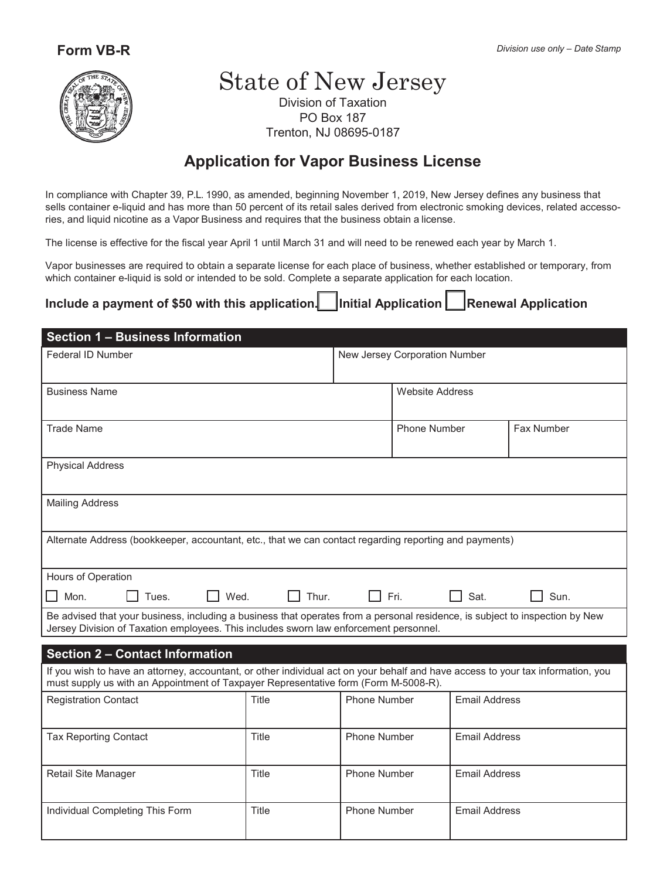

# State of New Jersey

Division of Taxation PO Box 187 Trenton, NJ 08695-0187

## **Application for Vapor Business License**

In compliance with Chapter 39, P.L. 1990, as amended, beginning November 1, 2019, New Jersey defines any business that sells container e-liquid and has more than 50 percent of its retail sales derived from electronic smoking devices, related accessories, and liquid nicotine as a Vapor Business and requires that the business obtain a license.

The license is effective for the fiscal year April 1 until March 31 and will need to be renewed each year by March 1.

Vapor businesses are required to obtain a separate license for each place of business, whether established or temporary, from which container e-liquid is sold or intended to be sold. Complete a separate application for each location.

### Include a payment of \$50 with this application. **I** Initial Application **I** Renewal Application

| <b>Section 1 - Business Information</b>                                                                                                                                                                                 |                               |                     |                        |                      |            |  |
|-------------------------------------------------------------------------------------------------------------------------------------------------------------------------------------------------------------------------|-------------------------------|---------------------|------------------------|----------------------|------------|--|
| Federal ID Number                                                                                                                                                                                                       | New Jersey Corporation Number |                     |                        |                      |            |  |
| <b>Business Name</b>                                                                                                                                                                                                    |                               |                     | <b>Website Address</b> |                      |            |  |
| <b>Trade Name</b>                                                                                                                                                                                                       |                               |                     | <b>Phone Number</b>    |                      | Fax Number |  |
| <b>Physical Address</b>                                                                                                                                                                                                 |                               |                     |                        |                      |            |  |
| <b>Mailing Address</b>                                                                                                                                                                                                  |                               |                     |                        |                      |            |  |
| Alternate Address (bookkeeper, accountant, etc., that we can contact regarding reporting and payments)                                                                                                                  |                               |                     |                        |                      |            |  |
| Hours of Operation                                                                                                                                                                                                      |                               |                     |                        |                      |            |  |
| $\Box$ Fri.<br>Thur.<br>Mon.<br>Wed.<br>Sat.<br>Sun.<br>Tues.                                                                                                                                                           |                               |                     |                        |                      |            |  |
| Be advised that your business, including a business that operates from a personal residence, is subject to inspection by New<br>Jersey Division of Taxation employees. This includes sworn law enforcement personnel.   |                               |                     |                        |                      |            |  |
| <b>Section 2 - Contact Information</b>                                                                                                                                                                                  |                               |                     |                        |                      |            |  |
| If you wish to have an attorney, accountant, or other individual act on your behalf and have access to your tax information, you<br>must supply us with an Appointment of Taxpayer Representative form (Form M-5008-R). |                               |                     |                        |                      |            |  |
| <b>Registration Contact</b>                                                                                                                                                                                             | Title                         | <b>Phone Number</b> |                        | <b>Email Address</b> |            |  |
| <b>Tax Reporting Contact</b>                                                                                                                                                                                            | Title                         | <b>Phone Number</b> |                        | <b>Email Address</b> |            |  |
| Retail Site Manager                                                                                                                                                                                                     | Title                         | <b>Phone Number</b> |                        | <b>Email Address</b> |            |  |
| Individual Completing This Form                                                                                                                                                                                         | Title                         | <b>Phone Number</b> |                        | <b>Email Address</b> |            |  |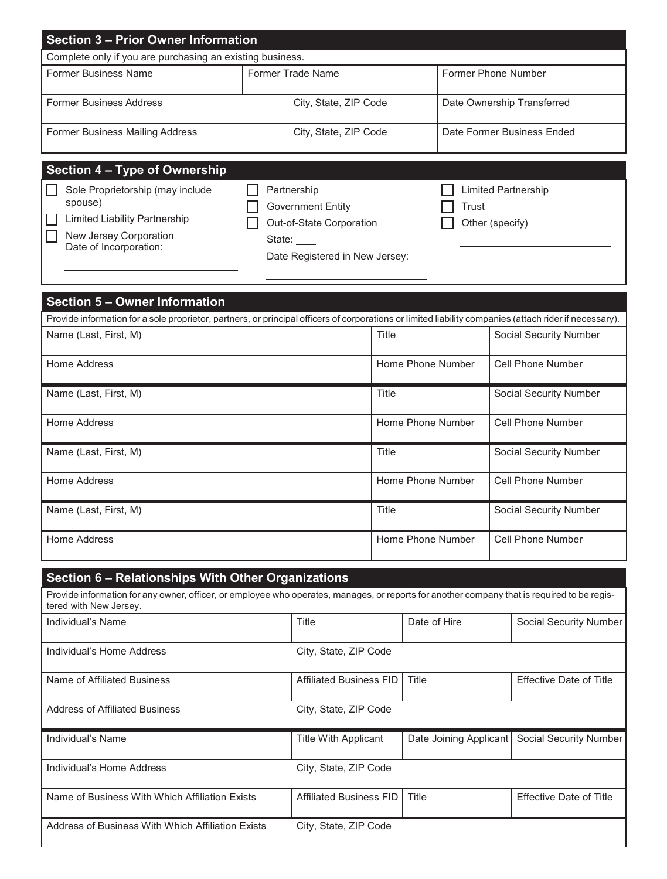| <b>Section 3 - Prior Owner Information</b>                                                                                                                            |                                                                                                                 |                                         |                        |                                                        |                        |                                |                                |  |
|-----------------------------------------------------------------------------------------------------------------------------------------------------------------------|-----------------------------------------------------------------------------------------------------------------|-----------------------------------------|------------------------|--------------------------------------------------------|------------------------|--------------------------------|--------------------------------|--|
| Complete only if you are purchasing an existing business.                                                                                                             |                                                                                                                 |                                         |                        |                                                        |                        |                                |                                |  |
| <b>Former Business Name</b>                                                                                                                                           | <b>Former Trade Name</b>                                                                                        |                                         |                        | Former Phone Number                                    |                        |                                |                                |  |
| <b>Former Business Address</b>                                                                                                                                        | City, State, ZIP Code                                                                                           |                                         |                        |                                                        |                        |                                | Date Ownership Transferred     |  |
| <b>Former Business Mailing Address</b>                                                                                                                                | City, State, ZIP Code                                                                                           |                                         |                        |                                                        |                        |                                | Date Former Business Ended     |  |
| <b>Section 4 - Type of Ownership</b>                                                                                                                                  |                                                                                                                 |                                         |                        |                                                        |                        |                                |                                |  |
| Sole Proprietorship (may include<br>spouse)<br><b>Limited Liability Partnership</b><br>New Jersey Corporation<br>Date of Incorporation:                               | Partnership<br><b>Government Entity</b><br>Out-of-State Corporation<br>State:<br>Date Registered in New Jersey: |                                         |                        | <b>Limited Partnership</b><br>Trust<br>Other (specify) |                        |                                |                                |  |
| <b>Section 5 - Owner Information</b>                                                                                                                                  |                                                                                                                 |                                         |                        |                                                        |                        |                                |                                |  |
| Provide information for a sole proprietor, partners, or principal officers of corporations or limited liability companies (attach rider if necessary).                |                                                                                                                 |                                         |                        |                                                        |                        |                                |                                |  |
| Name (Last, First, M)                                                                                                                                                 |                                                                                                                 |                                         | Title                  |                                                        |                        | <b>Social Security Number</b>  |                                |  |
| Home Address                                                                                                                                                          |                                                                                                                 |                                         |                        | Home Phone Number                                      |                        |                                | <b>Cell Phone Number</b>       |  |
| Name (Last, First, M)                                                                                                                                                 |                                                                                                                 |                                         | Title                  |                                                        |                        | <b>Social Security Number</b>  |                                |  |
| Home Address                                                                                                                                                          |                                                                                                                 |                                         | Home Phone Number      |                                                        |                        | <b>Cell Phone Number</b>       |                                |  |
| Name (Last, First, M)                                                                                                                                                 |                                                                                                                 |                                         | Title                  |                                                        |                        |                                | <b>Social Security Number</b>  |  |
| <b>Home Address</b>                                                                                                                                                   |                                                                                                                 |                                         | Home Phone Number      |                                                        |                        | <b>Cell Phone Number</b>       |                                |  |
| Name (Last, First, M)                                                                                                                                                 |                                                                                                                 |                                         | Title                  |                                                        |                        | <b>Social Security Number</b>  |                                |  |
| Home Address                                                                                                                                                          |                                                                                                                 |                                         | Home Phone Number      |                                                        |                        | <b>Cell Phone Number</b>       |                                |  |
| Section 6 - Relationships With Other Organizations                                                                                                                    |                                                                                                                 |                                         |                        |                                                        |                        |                                |                                |  |
| Provide information for any owner, officer, or employee who operates, manages, or reports for another company that is required to be regis-<br>tered with New Jersey. |                                                                                                                 |                                         |                        |                                                        |                        |                                |                                |  |
| Individual's Name                                                                                                                                                     |                                                                                                                 | Title                                   |                        | Date of Hire                                           |                        |                                | Social Security Number         |  |
| Individual's Home Address                                                                                                                                             |                                                                                                                 | City, State, ZIP Code                   |                        |                                                        |                        |                                |                                |  |
| Name of Affiliated Business                                                                                                                                           |                                                                                                                 | <b>Affiliated Business FID</b><br>Title |                        |                                                        |                        |                                | <b>Effective Date of Title</b> |  |
| <b>Address of Affiliated Business</b>                                                                                                                                 |                                                                                                                 | City, State, ZIP Code                   |                        |                                                        |                        |                                |                                |  |
| Individual's Name                                                                                                                                                     | <b>Title With Applicant</b>                                                                                     |                                         | Date Joining Applicant |                                                        | Social Security Number |                                |                                |  |
| Individual's Home Address                                                                                                                                             |                                                                                                                 | City, State, ZIP Code                   |                        |                                                        |                        |                                |                                |  |
| Name of Business With Which Affiliation Exists                                                                                                                        |                                                                                                                 | <b>Affiliated Business FID</b>          | Title                  |                                                        |                        | <b>Effective Date of Title</b> |                                |  |
| Address of Business With Which Affiliation Exists                                                                                                                     |                                                                                                                 | City, State, ZIP Code                   |                        |                                                        |                        |                                |                                |  |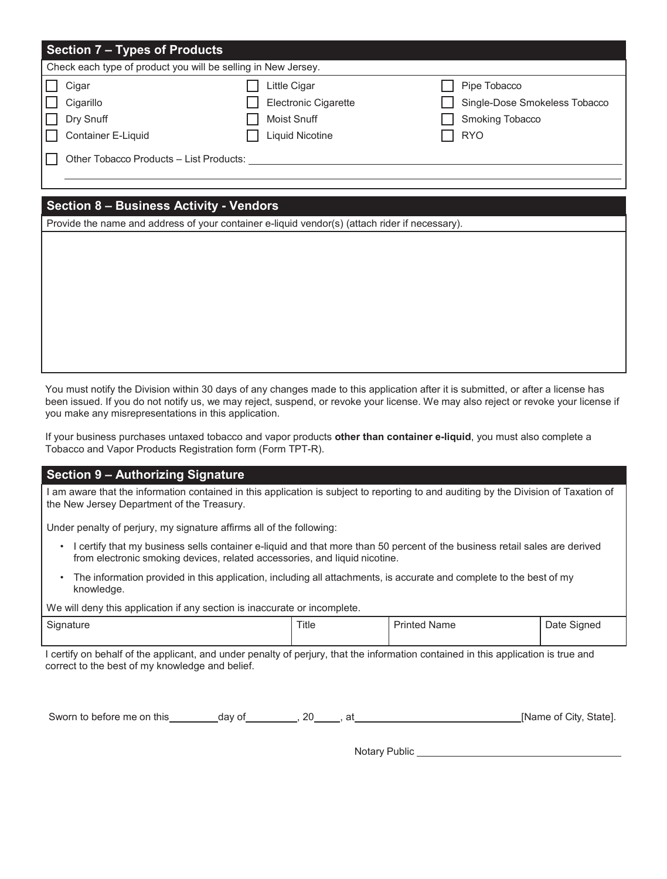| <b>Section 7 - Types of Products</b>                          |                                                            |                                                                  |  |  |  |  |
|---------------------------------------------------------------|------------------------------------------------------------|------------------------------------------------------------------|--|--|--|--|
| Check each type of product you will be selling in New Jersey. |                                                            |                                                                  |  |  |  |  |
| ╙<br>Cigar<br>Cigarillo<br>ILI<br>$\Box$ Dry Snuff            | Little Cigar<br>Electronic Cigarette<br><b>Moist Snuff</b> | Pipe Tobacco<br>Single-Dose Smokeless Tobacco<br>Smoking Tobacco |  |  |  |  |
| Container E-Liquid<br>IN                                      | <b>Liquid Nicotine</b>                                     | <b>RYO</b>                                                       |  |  |  |  |
| Other Tobacco Products - List Products:                       |                                                            |                                                                  |  |  |  |  |

#### **Section 8 – Business Activity - Vendors**

Provide the name and address of your container e-liquid vendor(s) (attach rider if necessary).

You must notify the Division within 30 days of any changes made to this application after it is submitted, or after a license has been issued. If you do not notify us, we may reject, suspend, or revoke your license. We may also reject or revoke your license if you make any misrepresentations in this application.

If your business purchases untaxed tobacco and vapor products **other than container e-liquid**, you must also complete a Tobacco and Vapor Products Registration form (Form TPT-R).

#### **Section 9 – Authorizing Signature**

I am aware that the information contained in this application is subject to reporting to and auditing by the Division of Taxation of the New Jersey Department of the Treasury.

Under penalty of perjury, my signature affirms all of the following:

- I certify that my business sells container e-liquid and that more than 50 percent of the business retail sales are derived from electronic smoking devices, related accessories, and liquid nicotine.
- The information provided in this application, including all attachments, is accurate and complete to the best of my knowledge.

We will deny this application if any section is inaccurate or incomplete.

| $\sim$<br>Signature<br>. . | Title | Name<br>rinter | $\sim$<br>Sianer.<br>Date<br>ີ<br>$\sim$ |
|----------------------------|-------|----------------|------------------------------------------|
|                            |       |                |                                          |

I certify on behalf of the applicant, and under penalty of perjury, that the information contained in this application is true and correct to the best of my knowledge and belief.

| Sworn to before me on this | dav of | חכ | Stateı.<br>Mame of<br>City. |
|----------------------------|--------|----|-----------------------------|
|----------------------------|--------|----|-----------------------------|

Notary Public